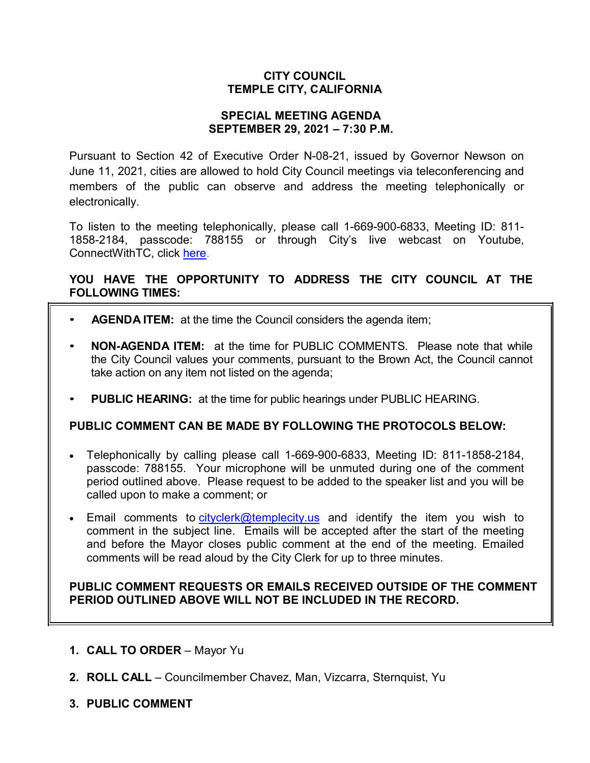## **CITY COUNCIL TEMPLE CITY, CALIFORNIA**

### **SPECIAL MEETING AGENDA SEPTEMBER 29, 2021 – 7:30 P.M.**

Pursuant to Section 42 of Executive Order N-08-21, issued by Governor Newson on June 11, 2021, cities are allowed to hold City Council meetings via teleconferencing and members of the public can observe and address the meeting telephonically or electronically.

To listen to the meeting telephonically, please call 1-669-900-6833, Meeting ID: 811- 1858-2184, passcode: 788155 or through City's live webcast on Youtube, ConnectWithTC, click [here.](https://www.ci.temple-city.ca.us/516/Meeting-Webcast)

# **YOU HAVE THE OPPORTUNITY TO ADDRESS THE CITY COUNCIL AT THE FOLLOWING TIMES:**

- **AGENDA ITEM:** at the time the Council considers the agenda item;
- **NON-AGENDA ITEM:** at the time for PUBLIC COMMENTS. Please note that while the City Council values your comments, pursuant to the Brown Act, the Council cannot take action on any item not listed on the agenda;
- **PUBLIC HEARING:** at the time for public hearings under PUBLIC HEARING.

### **PUBLIC COMMENT CAN BE MADE BY FOLLOWING THE PROTOCOLS BELOW:**

- Telephonically by calling please call 1-669-900-6833, Meeting ID: 811-1858-2184, passcode: 788155. Your microphone will be unmuted during one of the comment period outlined above. Please request to be added to the speaker list and you will be called upon to make a comment; or
- Email comments to [cityclerk@templecity.us](mailto:cityclerk@templecity.us) and identify the item you wish to comment in the subject line. Emails will be accepted after the start of the meeting and before the Mayor closes public comment at the end of the meeting. Emailed comments will be read aloud by the City Clerk for up to three minutes.

### **PUBLIC COMMENT REQUESTS OR EMAILS RECEIVED OUTSIDE OF THE COMMENT PERIOD OUTLINED ABOVE WILL NOT BE INCLUDED IN THE RECORD.**

- **1. CALL TO ORDER**  Mayor Yu
- **2. ROLL CALL**  Councilmember Chavez, Man, Vizcarra, Sternquist, Yu
- **3. PUBLIC COMMENT**